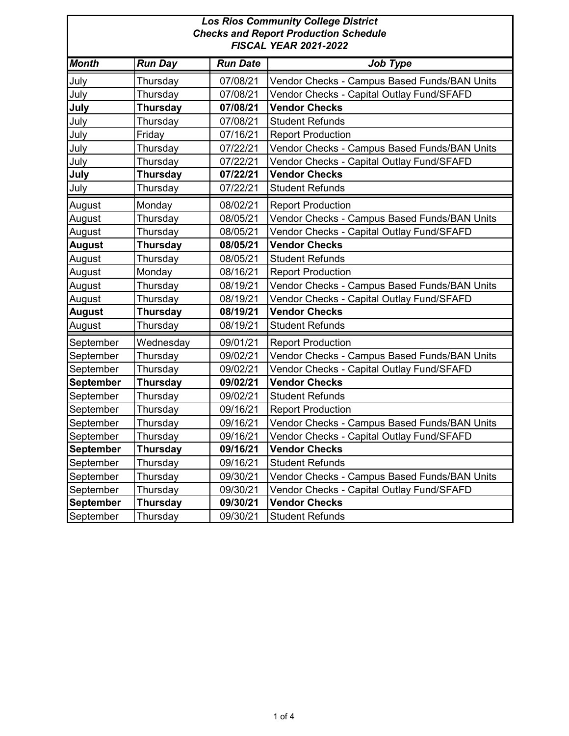| <b>Los Rios Community College District</b><br><b>Checks and Report Production Schedule</b><br><b>FISCAL YEAR 2021-2022</b> |                 |                 |                                              |
|----------------------------------------------------------------------------------------------------------------------------|-----------------|-----------------|----------------------------------------------|
| <b>Month</b>                                                                                                               | <b>Run Day</b>  | <b>Run Date</b> | Job Type                                     |
| July                                                                                                                       | Thursday        | 07/08/21        | Vendor Checks - Campus Based Funds/BAN Units |
| July                                                                                                                       | Thursday        | 07/08/21        | Vendor Checks - Capital Outlay Fund/SFAFD    |
| July                                                                                                                       | <b>Thursday</b> | 07/08/21        | <b>Vendor Checks</b>                         |
| July                                                                                                                       | Thursday        | 07/08/21        | <b>Student Refunds</b>                       |
| July                                                                                                                       | Friday          | 07/16/21        | <b>Report Production</b>                     |
| July                                                                                                                       | Thursday        | 07/22/21        | Vendor Checks - Campus Based Funds/BAN Units |
| July                                                                                                                       | Thursday        | 07/22/21        | Vendor Checks - Capital Outlay Fund/SFAFD    |
| July                                                                                                                       | <b>Thursday</b> | 07/22/21        | <b>Vendor Checks</b>                         |
| July                                                                                                                       | Thursday        | 07/22/21        | <b>Student Refunds</b>                       |
| August                                                                                                                     | Monday          | 08/02/21        | <b>Report Production</b>                     |
| August                                                                                                                     | Thursday        | 08/05/21        | Vendor Checks - Campus Based Funds/BAN Units |
| August                                                                                                                     | Thursday        | 08/05/21        | Vendor Checks - Capital Outlay Fund/SFAFD    |
| <b>August</b>                                                                                                              | <b>Thursday</b> | 08/05/21        | <b>Vendor Checks</b>                         |
| August                                                                                                                     | Thursday        | 08/05/21        | <b>Student Refunds</b>                       |
| August                                                                                                                     | Monday          | 08/16/21        | <b>Report Production</b>                     |
| August                                                                                                                     | Thursday        | 08/19/21        | Vendor Checks - Campus Based Funds/BAN Units |
| August                                                                                                                     | Thursday        | 08/19/21        | Vendor Checks - Capital Outlay Fund/SFAFD    |
| <b>August</b>                                                                                                              | <b>Thursday</b> | 08/19/21        | <b>Vendor Checks</b>                         |
| August                                                                                                                     | Thursday        | 08/19/21        | <b>Student Refunds</b>                       |
| September                                                                                                                  | Wednesday       | 09/01/21        | <b>Report Production</b>                     |
| September                                                                                                                  | Thursday        | 09/02/21        | Vendor Checks - Campus Based Funds/BAN Units |
| September                                                                                                                  | Thursday        | 09/02/21        | Vendor Checks - Capital Outlay Fund/SFAFD    |
| <b>September</b>                                                                                                           | Thursday        | 09/02/21        | <b>Vendor Checks</b>                         |
| September                                                                                                                  | Thursday        | 09/02/21        | <b>Student Refunds</b>                       |
| September                                                                                                                  | Thursday        | 09/16/21        | <b>Report Production</b>                     |
| September                                                                                                                  | Thursday        | 09/16/21        | Vendor Checks - Campus Based Funds/BAN Units |
| September                                                                                                                  | Thursday        | 09/16/21        | Vendor Checks - Capital Outlay Fund/SFAFD    |
| <b>September</b>                                                                                                           | Thursday        | 09/16/21        | <b>Vendor Checks</b>                         |
| September                                                                                                                  | Thursday        | 09/16/21        | Student Refunds                              |
| September                                                                                                                  | Thursday        | 09/30/21        | Vendor Checks - Campus Based Funds/BAN Units |
| September                                                                                                                  | Thursday        | 09/30/21        | Vendor Checks - Capital Outlay Fund/SFAFD    |
| <b>September</b>                                                                                                           | <b>Thursday</b> | 09/30/21        | <b>Vendor Checks</b>                         |
| September                                                                                                                  | Thursday        | 09/30/21        | <b>Student Refunds</b>                       |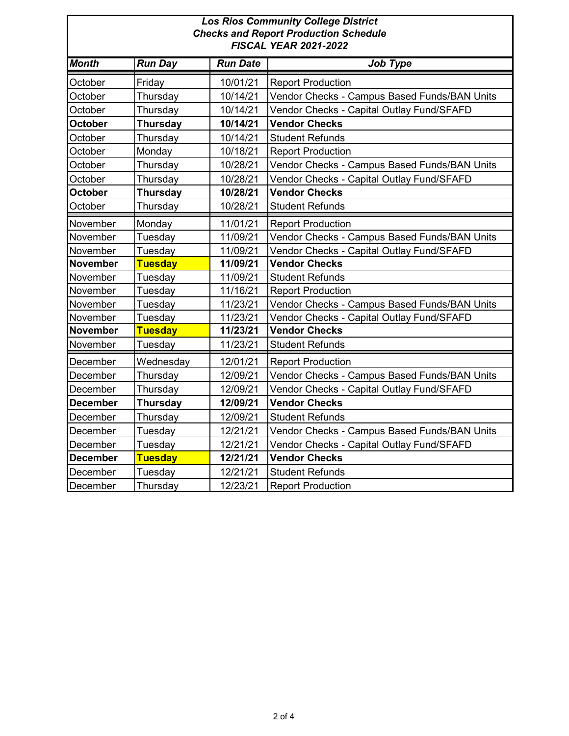| <b>Los Rios Community College District</b> |                                              |  |  |  |
|--------------------------------------------|----------------------------------------------|--|--|--|
|                                            | <b>Checks and Report Production Schedule</b> |  |  |  |
|                                            | <b>FISCAL YEAR 2021-2022</b>                 |  |  |  |
|                                            |                                              |  |  |  |
|                                            |                                              |  |  |  |

| <b>Month</b>    | <b>Run Day</b>  | <b>Run Date</b> | Job Type                                     |
|-----------------|-----------------|-----------------|----------------------------------------------|
| October         | Friday          | 10/01/21        | <b>Report Production</b>                     |
| October         | Thursday        | 10/14/21        | Vendor Checks - Campus Based Funds/BAN Units |
| October         | Thursday        | 10/14/21        | Vendor Checks - Capital Outlay Fund/SFAFD    |
| <b>October</b>  | <b>Thursday</b> | 10/14/21        | <b>Vendor Checks</b>                         |
| October         | Thursday        | 10/14/21        | <b>Student Refunds</b>                       |
| October         | Monday          | 10/18/21        | <b>Report Production</b>                     |
| October         | Thursday        | 10/28/21        | Vendor Checks - Campus Based Funds/BAN Units |
| October         | Thursday        | 10/28/21        | Vendor Checks - Capital Outlay Fund/SFAFD    |
| <b>October</b>  | <b>Thursday</b> | 10/28/21        | <b>Vendor Checks</b>                         |
| October         | Thursday        | 10/28/21        | <b>Student Refunds</b>                       |
| November        | Monday          | 11/01/21        | <b>Report Production</b>                     |
| November        | Tuesday         | 11/09/21        | Vendor Checks - Campus Based Funds/BAN Units |
| November        | Tuesday         | 11/09/21        | Vendor Checks - Capital Outlay Fund/SFAFD    |
| <b>November</b> | <b>Tuesday</b>  | 11/09/21        | <b>Vendor Checks</b>                         |
| November        | Tuesday         | 11/09/21        | <b>Student Refunds</b>                       |
| November        | Tuesday         | 11/16/21        | <b>Report Production</b>                     |
| November        | Tuesday         | 11/23/21        | Vendor Checks - Campus Based Funds/BAN Units |
| November        | Tuesday         | 11/23/21        | Vendor Checks - Capital Outlay Fund/SFAFD    |
| <b>November</b> | <b>Tuesday</b>  | 11/23/21        | <b>Vendor Checks</b>                         |
| November        | Tuesday         | 11/23/21        | <b>Student Refunds</b>                       |
| December        | Wednesday       | 12/01/21        | <b>Report Production</b>                     |
| December        | Thursday        | 12/09/21        | Vendor Checks - Campus Based Funds/BAN Units |
| December        | Thursday        | 12/09/21        | Vendor Checks - Capital Outlay Fund/SFAFD    |
| <b>December</b> | <b>Thursday</b> | 12/09/21        | <b>Vendor Checks</b>                         |
| December        | Thursday        | 12/09/21        | <b>Student Refunds</b>                       |
| December        | Tuesday         | 12/21/21        | Vendor Checks - Campus Based Funds/BAN Units |
| December        | Tuesday         | 12/21/21        | Vendor Checks - Capital Outlay Fund/SFAFD    |
| <b>December</b> | <b>Tuesday</b>  | 12/21/21        | <b>Vendor Checks</b>                         |
| December        | Tuesday         | 12/21/21        | <b>Student Refunds</b>                       |
| December        | Thursday        | 12/23/21        | <b>Report Production</b>                     |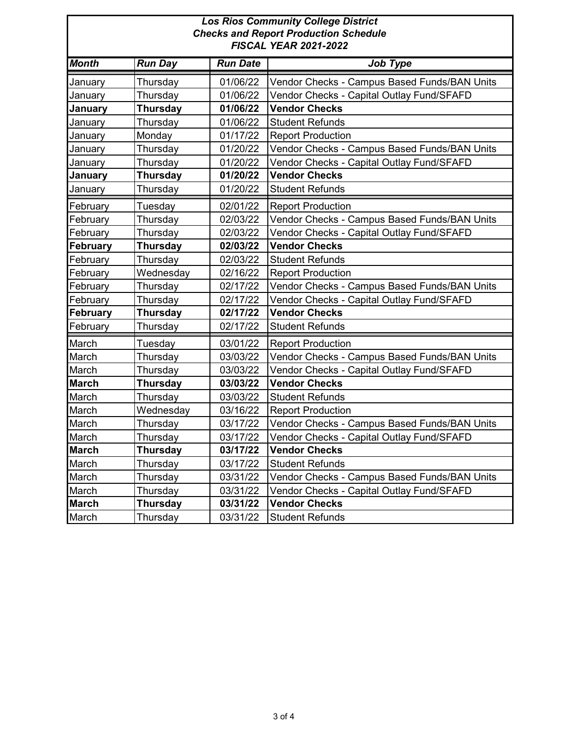| <b>Los Rios Community College District</b><br><b>Checks and Report Production Schedule</b><br><b>FISCAL YEAR 2021-2022</b> |                 |                 |                                              |
|----------------------------------------------------------------------------------------------------------------------------|-----------------|-----------------|----------------------------------------------|
| <b>Month</b>                                                                                                               | <b>Run Day</b>  | <b>Run Date</b> | <b>Job Type</b>                              |
| January                                                                                                                    | Thursday        | 01/06/22        | Vendor Checks - Campus Based Funds/BAN Units |
| January                                                                                                                    | Thursday        | 01/06/22        | Vendor Checks - Capital Outlay Fund/SFAFD    |
| January                                                                                                                    | <b>Thursday</b> | 01/06/22        | <b>Vendor Checks</b>                         |
| January                                                                                                                    | Thursday        | 01/06/22        | <b>Student Refunds</b>                       |
| January                                                                                                                    | Monday          | 01/17/22        | <b>Report Production</b>                     |
| January                                                                                                                    | Thursday        | 01/20/22        | Vendor Checks - Campus Based Funds/BAN Units |
| January                                                                                                                    | Thursday        | 01/20/22        | Vendor Checks - Capital Outlay Fund/SFAFD    |
| January                                                                                                                    | <b>Thursday</b> | 01/20/22        | <b>Vendor Checks</b>                         |
| January                                                                                                                    | Thursday        | 01/20/22        | <b>Student Refunds</b>                       |
| February                                                                                                                   | Tuesday         | 02/01/22        | <b>Report Production</b>                     |
| February                                                                                                                   | Thursday        | 02/03/22        | Vendor Checks - Campus Based Funds/BAN Units |
| February                                                                                                                   | Thursday        | 02/03/22        | Vendor Checks - Capital Outlay Fund/SFAFD    |
| <b>February</b>                                                                                                            | <b>Thursday</b> | 02/03/22        | <b>Vendor Checks</b>                         |
| February                                                                                                                   | Thursday        | 02/03/22        | <b>Student Refunds</b>                       |
| February                                                                                                                   | Wednesday       | 02/16/22        | <b>Report Production</b>                     |
| February                                                                                                                   | Thursday        | 02/17/22        | Vendor Checks - Campus Based Funds/BAN Units |
| February                                                                                                                   | Thursday        | 02/17/22        | Vendor Checks - Capital Outlay Fund/SFAFD    |
| <b>February</b>                                                                                                            | <b>Thursday</b> | 02/17/22        | <b>Vendor Checks</b>                         |
| February                                                                                                                   | Thursday        | 02/17/22        | <b>Student Refunds</b>                       |
| March                                                                                                                      | Tuesday         | 03/01/22        | <b>Report Production</b>                     |
| March                                                                                                                      | Thursday        | 03/03/22        | Vendor Checks - Campus Based Funds/BAN Units |
| March                                                                                                                      | Thursday        | 03/03/22        | Vendor Checks - Capital Outlay Fund/SFAFD    |
| <b>March</b>                                                                                                               | <b>Thursday</b> | 03/03/22        | <b>Vendor Checks</b>                         |
| March                                                                                                                      | Thursday        | 03/03/22        | <b>Student Refunds</b>                       |
| March                                                                                                                      | Wednesday       | 03/16/22        | <b>Report Production</b>                     |
| March                                                                                                                      | Thursday        | 03/17/22        | Vendor Checks - Campus Based Funds/BAN Units |
| March                                                                                                                      | Thursday        | 03/17/22        | Vendor Checks - Capital Outlay Fund/SFAFD    |
| <b>March</b>                                                                                                               | <b>Thursday</b> | 03/17/22        | <b>Vendor Checks</b>                         |
| March                                                                                                                      | Thursday        | 03/17/22        | <b>Student Refunds</b>                       |
| March                                                                                                                      | Thursday        | 03/31/22        | Vendor Checks - Campus Based Funds/BAN Units |
| March                                                                                                                      | Thursday        | 03/31/22        | Vendor Checks - Capital Outlay Fund/SFAFD    |
| <b>March</b>                                                                                                               | <b>Thursday</b> | 03/31/22        | <b>Vendor Checks</b>                         |
| March                                                                                                                      | Thursday        | 03/31/22        | <b>Student Refunds</b>                       |